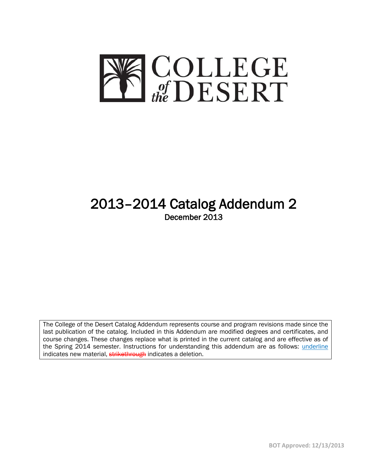

# 2013–2014 Catalog Addendum 2 December 2013

The College of the Desert Catalog Addendum represents course and program revisions made since the last publication of the catalog. Included in this Addendum are modified degrees and certificates, and course changes. These changes replace what is printed in the current catalog and are effective as of the Spring 2014 semester. Instructions for understanding this addendum are as follows: *underline* indicates new material, strikethrough indicates a deletion.

I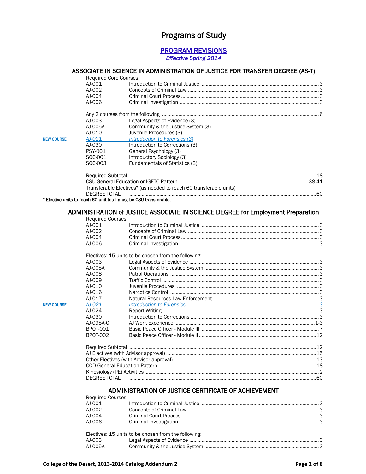# Programs of Study

#### PROGRAM REVISIONS *Effective Spring 2014*

#### ASSOCIATE IN SCIENCE IN ADMINISTRATION OF JUSTICE FOR TRANSFER DEGREE (AS-T)

|                   | <b>Required Core Courses:</b> |                                                                                  |  |
|-------------------|-------------------------------|----------------------------------------------------------------------------------|--|
|                   | AJ-001                        |                                                                                  |  |
|                   | AJ-002                        |                                                                                  |  |
|                   | AJ-004                        |                                                                                  |  |
|                   | AJ-006                        |                                                                                  |  |
|                   |                               |                                                                                  |  |
|                   |                               |                                                                                  |  |
|                   | AJ-003                        | Legal Aspects of Evidence (3)                                                    |  |
|                   | AJ-005A                       | Community & the Justice System (3)                                               |  |
|                   | AJ-010                        | Juvenile Procedures (3)                                                          |  |
|                   | AJ-021                        | Introduction to Forensics (3)                                                    |  |
| <b>NEW COURSE</b> |                               |                                                                                  |  |
|                   | AJ-030                        | Introduction to Corrections (3)                                                  |  |
|                   | PSY-001                       | General Psychology (3)                                                           |  |
|                   | SOC-001                       | Introductory Sociology (3)                                                       |  |
|                   | SOC-003                       | Fundamentals of Statistics (3)                                                   |  |
|                   |                               |                                                                                  |  |
|                   |                               |                                                                                  |  |
|                   |                               | Transferable Electives* (as needed to reach 60 transferable units)               |  |
|                   |                               |                                                                                  |  |
|                   | <b>DEGREE TOTAL</b>           | * Elective units to reach 60 unit total must be CSU transferable.                |  |
|                   |                               |                                                                                  |  |
|                   |                               | ADMINISTRATION of JUSTICE ASSOCIATE IN SCIENCE DEGREE for Employment Preparation |  |
|                   | <b>Required Courses:</b>      |                                                                                  |  |
|                   | AJ-001                        |                                                                                  |  |
|                   | AJ-002                        |                                                                                  |  |
|                   | AJ-004                        |                                                                                  |  |
|                   | AJ-006                        |                                                                                  |  |
|                   |                               |                                                                                  |  |
|                   |                               | Electives: 15 units to be chosen from the following:                             |  |
|                   | AJ-003                        |                                                                                  |  |
|                   | AJ-005A                       |                                                                                  |  |
|                   | AJ-008                        |                                                                                  |  |
|                   | AJ-009                        |                                                                                  |  |
|                   | AJ-010                        |                                                                                  |  |
|                   | AJ-016                        |                                                                                  |  |
|                   | AJ-017                        |                                                                                  |  |
| <b>NEW COURSE</b> | AJ-021                        |                                                                                  |  |
|                   | AJ-024                        |                                                                                  |  |
|                   | AJ-030                        |                                                                                  |  |
|                   |                               |                                                                                  |  |
|                   | AJ-095A-C                     |                                                                                  |  |
|                   | <b>BPOT-001</b>               |                                                                                  |  |
|                   | <b>BPOT-002</b>               |                                                                                  |  |
|                   |                               |                                                                                  |  |
|                   |                               |                                                                                  |  |
|                   |                               |                                                                                  |  |
|                   |                               |                                                                                  |  |
|                   |                               |                                                                                  |  |
|                   | <b>DEGREE TOTAL</b>           |                                                                                  |  |
|                   |                               |                                                                                  |  |
|                   |                               | ADMINISTRATION OF JUSTICE CERTIFICATE OF ACHIEVEMENT                             |  |
|                   | <b>Required Courses:</b>      |                                                                                  |  |
|                   | AJ-001                        |                                                                                  |  |
|                   | AJ-002                        |                                                                                  |  |
|                   | AJ-004                        |                                                                                  |  |
|                   | AJ-006                        |                                                                                  |  |
|                   |                               |                                                                                  |  |
|                   |                               | Electives: 15 units to be chosen from the following:                             |  |
|                   | AJ-003                        |                                                                                  |  |
|                   |                               |                                                                                  |  |

AJ-005A Community & the Justice System ...................................................................................3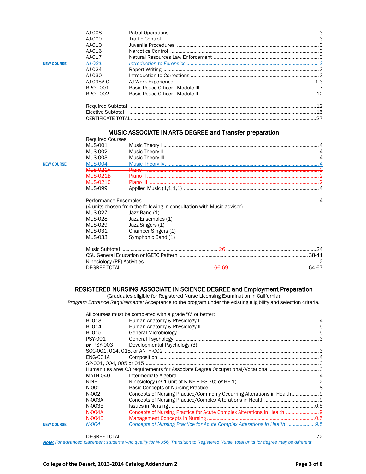|                   | AI-008    |    |
|-------------------|-----------|----|
|                   | AI-009    |    |
|                   | $AI-010$  |    |
|                   | AI-016    |    |
|                   | AI-017    |    |
| <b>NEW COURSE</b> | $AI-021$  |    |
|                   | AI-024    |    |
|                   | AI-030    |    |
|                   | AJ-095A-C |    |
|                   | BPOT-001  |    |
|                   | BPOT-002  |    |
|                   |           |    |
|                   |           |    |
|                   |           | 27 |
|                   |           |    |

### MUSIC ASSOCIATE IN ARTS DEGREE and Transfer preparation

|                   | <b>Required Courses:</b> |              |  |
|-------------------|--------------------------|--------------|--|
|                   | MUS-001                  |              |  |
|                   | MUS-002                  |              |  |
|                   | MUS-003                  |              |  |
| <b>NEW COURSE</b> |                          |              |  |
|                   |                          | <b>Diono</b> |  |
|                   | MIIC 001D                | Diano II     |  |
|                   | <b>MIIC 0010</b>         | Diono III    |  |
|                   | MUS-099                  |              |  |
|                   |                          |              |  |

|         | (4 units chosen from the following in consultation with Music advisor) |                              |  |  |
|---------|------------------------------------------------------------------------|------------------------------|--|--|
| MUS-027 | Jazz Band (1)                                                          |                              |  |  |
|         | MUS-028 Jazz Ensembles (1)                                             |                              |  |  |
| MUS-029 | Jazz Singers (1)                                                       |                              |  |  |
| MUS-031 | Chamber Singers (1)                                                    |                              |  |  |
| MUS-033 | Symphonic Band (1)                                                     |                              |  |  |
|         |                                                                        | Music Subtotal $\ldots$ $24$ |  |  |
|         |                                                                        |                              |  |  |
|         |                                                                        |                              |  |  |
|         |                                                                        |                              |  |  |

#### REGISTERED NURSING ASSOCIATE IN SCIENCE DEGREE and Employment Preparation

(Graduates eligible for Registered Nurse Licensing Examination in California) *Program Entrance Requirements:* Acceptance to the program under the existing eligibility and selection criteria.

|                   |                   | All courses must be completed with a grade "C" or better:                     |  |
|-------------------|-------------------|-------------------------------------------------------------------------------|--|
|                   | BI-013            |                                                                               |  |
|                   | BI-014            |                                                                               |  |
|                   | BI-015            |                                                                               |  |
|                   | <b>PSY-001</b>    |                                                                               |  |
|                   | or $PSY-003$      | Developmental Psychology (3)                                                  |  |
|                   |                   |                                                                               |  |
|                   | <b>ENG-001A</b>   |                                                                               |  |
|                   |                   |                                                                               |  |
|                   |                   | Humanities Area C3 requirements for Associate Degree Occupational/Vocational3 |  |
|                   | <b>MATH-040</b>   |                                                                               |  |
|                   | KINE              |                                                                               |  |
|                   | N-001             |                                                                               |  |
|                   | $N-002$           |                                                                               |  |
|                   | N-003A            |                                                                               |  |
|                   | N-003B            |                                                                               |  |
|                   | <del>N 004A</del> | Concepts of Nursing Practice for Acute Complex Alterations in Health  9       |  |
|                   | $N$ $004R$        |                                                                               |  |
| <b>NFW COURSE</b> | N-004             | Concepts of Nursing Practice for Acute Complex Alterations in Health 9.5      |  |
|                   |                   |                                                                               |  |

DEGREE TOTAL ...............................................................................................................................................72 *Note: For advanced placement students who qualify for N-056, Transition to Registered Nurse, total units for degree may be different.*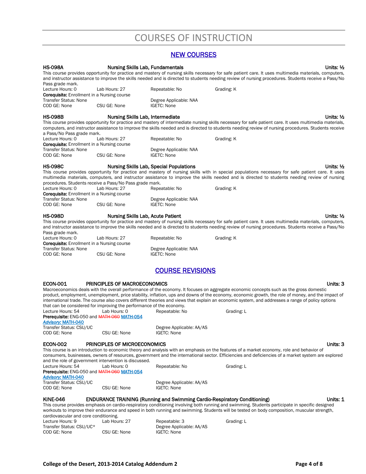# COURSES OF INSTRUCTION

## NEW COURSES

|                                                                                                                                                                                                                                                                                                                                                                                                                                                            |                                                                                                                             | ישטווטטט זובוו                                 |                                                                                                                                                                                                                                                                                                                                                                                                                                                               |
|------------------------------------------------------------------------------------------------------------------------------------------------------------------------------------------------------------------------------------------------------------------------------------------------------------------------------------------------------------------------------------------------------------------------------------------------------------|-----------------------------------------------------------------------------------------------------------------------------|------------------------------------------------|---------------------------------------------------------------------------------------------------------------------------------------------------------------------------------------------------------------------------------------------------------------------------------------------------------------------------------------------------------------------------------------------------------------------------------------------------------------|
| <b>HS-098A</b><br>Pass grade mark.                                                                                                                                                                                                                                                                                                                                                                                                                         | <b>Nursing Skills Lab, Fundamentals</b>                                                                                     |                                                | Units: ½<br>This course provides opportunity for practice and mastery of nursing skills necessary for safe patient care. It uses multimedia materials, computers,<br>and instructor assistance to improve the skills needed and is directed to students needing review of nursing procedures. Students receive a Pass/No                                                                                                                                      |
| Lecture Hours: 0<br><b>Corequisite:</b> Enrollment in a Nursing course<br><b>Transfer Status: None</b>                                                                                                                                                                                                                                                                                                                                                     | Lab Hours: 27                                                                                                               | Repeatable: No<br>Degree Applicable: NAA       | Grading: K                                                                                                                                                                                                                                                                                                                                                                                                                                                    |
| COD GE: None                                                                                                                                                                                                                                                                                                                                                                                                                                               | CSU GE: None                                                                                                                | <b>IGETC: None</b>                             |                                                                                                                                                                                                                                                                                                                                                                                                                                                               |
| <b>HS-098B</b><br>a Pass/No Pass grade mark.                                                                                                                                                                                                                                                                                                                                                                                                               | Nursing Skills Lab, Intermediate                                                                                            |                                                | Units: $\frac{1}{2}$<br>This course provides opportunity for practice and mastery of intermediate nursing skills necessary for safe patient care. It uses multimedia materials,<br>computers, and instructor assistance to improve the skills needed and is directed to students needing review of nursing procedures. Students receive                                                                                                                       |
| Lecture Hours: 0<br><b>Corequisite:</b> Enrollment in a Nursing course<br><b>Transfer Status: None</b>                                                                                                                                                                                                                                                                                                                                                     | Lab Hours: 27                                                                                                               | Repeatable: No<br>Degree Applicable: NAA       | Grading: K                                                                                                                                                                                                                                                                                                                                                                                                                                                    |
| COD GE: None                                                                                                                                                                                                                                                                                                                                                                                                                                               | CSU GE: None                                                                                                                | <b>IGETC: None</b>                             |                                                                                                                                                                                                                                                                                                                                                                                                                                                               |
| <b>HS-098C</b>                                                                                                                                                                                                                                                                                                                                                                                                                                             | procedures. Students receive a Pass/No Pass grade mark.                                                                     | <b>Nursing Skills Lab, Special Populations</b> | Units: ½<br>This course provides opportunity for practice and mastery of nursing skills with in special populations necessary for safe patient care. It uses<br>multimedia materials, computers, and instructor assistance to improve the skills needed and is directed to students needing review of nursing                                                                                                                                                 |
| Lecture Hours: 0<br><b>Corequisite:</b> Enrollment in a Nursing course<br><b>Transfer Status: None</b>                                                                                                                                                                                                                                                                                                                                                     | Lab Hours: 27                                                                                                               | Repeatable: No<br>Degree Applicable: NAA       | Grading: K                                                                                                                                                                                                                                                                                                                                                                                                                                                    |
| COD GE: None                                                                                                                                                                                                                                                                                                                                                                                                                                               | CSU GE: None                                                                                                                | <b>IGETC: None</b>                             |                                                                                                                                                                                                                                                                                                                                                                                                                                                               |
| <b>HS-098D</b><br>Pass grade mark.                                                                                                                                                                                                                                                                                                                                                                                                                         | <b>Nursing Skills Lab, Acute Patient</b>                                                                                    |                                                | Units: $\frac{1}{2}$<br>This course provides opportunity for practice and mastery of nursing skills necessary for safe patient care. It uses multimedia materials, computers,<br>and instructor assistance to improve the skills needed and is directed to students needing review of nursing procedures. Students receive a Pass/No                                                                                                                          |
| Lecture Hours: 0<br><b>Corequisite:</b> Enrollment in a Nursing course<br>Transfer Status: None                                                                                                                                                                                                                                                                                                                                                            | Lab Hours: 27                                                                                                               | Repeatable: No                                 | Grading: K                                                                                                                                                                                                                                                                                                                                                                                                                                                    |
| COD GE: None                                                                                                                                                                                                                                                                                                                                                                                                                                               | CSU GE: None                                                                                                                | Degree Applicable: NAA<br><b>IGETC: None</b>   |                                                                                                                                                                                                                                                                                                                                                                                                                                                               |
|                                                                                                                                                                                                                                                                                                                                                                                                                                                            |                                                                                                                             | <b>COURSE REVISIONS</b>                        |                                                                                                                                                                                                                                                                                                                                                                                                                                                               |
| <b>ECON-001</b><br>Lecture Hours: 54                                                                                                                                                                                                                                                                                                                                                                                                                       | <b>PRINCIPLES OF MACROECONOMICS</b><br>that can be considered for improving the performance of the economy.<br>Lab Hours: 0 |                                                | Units: 3<br>Macroeconomics deals with the overall performance of the economy. It focuses on aggregate economic concepts such as the gross domestic<br>product, employment, unemployment, price stability, inflation, ups and downs of the economy, economic growth, the role of money, and the impact of<br>international trade. The course also covers different theories and views that explain an economic system, and addresses a range of policy options |
| Prerequisite: ENG-050 and MATH-060 MATH-054<br><b>Advisory: MATH-040</b>                                                                                                                                                                                                                                                                                                                                                                                   |                                                                                                                             | Repeatable: No                                 | Grading: L                                                                                                                                                                                                                                                                                                                                                                                                                                                    |
| Transfer Status: CSU/UC<br>COD GE: None                                                                                                                                                                                                                                                                                                                                                                                                                    | CSU GE: None                                                                                                                | Degree Applicable: AA/AS<br><b>IGETC: None</b> |                                                                                                                                                                                                                                                                                                                                                                                                                                                               |
| <b>ECON-002</b>                                                                                                                                                                                                                                                                                                                                                                                                                                            | PRINCIPLES OF MICROECONOMICS<br>and the role of government intervention is discussed.                                       |                                                | Units: 3<br>This course is an introduction to economic theory and analysis with an emphasis on the features of a market economy, role and behavior of<br>consumers, businesses, owners of resources, government and the international sector. Efficiencies and deficiencies of a market system are explored                                                                                                                                                   |
| Lecture Hours: 54<br>Prerequisite: ENG-050 and MATH-060 MATH-054<br><b>Advisory: MATH-040</b>                                                                                                                                                                                                                                                                                                                                                              | Lab Hours: 0                                                                                                                | Repeatable: No                                 | Grading: L                                                                                                                                                                                                                                                                                                                                                                                                                                                    |
| Transfer Status: CSU/UC<br>COD GE: None                                                                                                                                                                                                                                                                                                                                                                                                                    | CSU GE: None                                                                                                                | Degree Applicable: AA/AS<br><b>IGETC: None</b> |                                                                                                                                                                                                                                                                                                                                                                                                                                                               |
| <b>KINE-046</b><br><b>ENDURANCE TRAINING (Running and Swimming Cardio-Respiratory Conditioning)</b><br>Units: 1<br>This course provides emphasis on cardio-respiratory conditioning involving both running and swimming. Students participate in specific designed<br>workouts to improve their endurance and speed in both running and swimming. Students will be tested on body composition, muscular strength,<br>cardiovascular and core conditioning. |                                                                                                                             |                                                |                                                                                                                                                                                                                                                                                                                                                                                                                                                               |
| Lecture Hours: 9<br>Transfer Status: CSU/UC*                                                                                                                                                                                                                                                                                                                                                                                                               | Lab Hours: 27                                                                                                               | Repeatable: 3<br>Degree Applicable: AA/AS      | Grading: L                                                                                                                                                                                                                                                                                                                                                                                                                                                    |
| COD GE: None                                                                                                                                                                                                                                                                                                                                                                                                                                               | CSU GE: None                                                                                                                | <b>IGETC: None</b>                             |                                                                                                                                                                                                                                                                                                                                                                                                                                                               |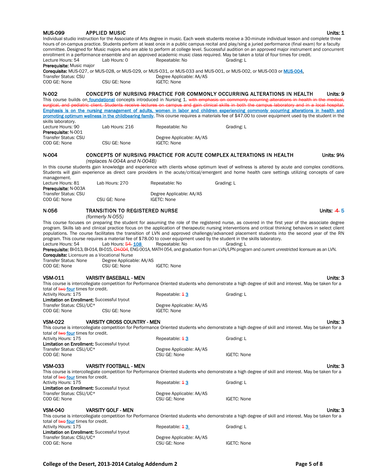#### MUS-099 APPLIED MUSIC **ALCOREGISTS** AND MUSIC ASSESSED ASSESSED. A LCCC AND MUSIC ASSESSED.

Individual studio instruction for the Associate of Arts degree in music. Each week students receive a 30-minute individual lesson and complete three hours of on-campus practice. Students perform at least once in a public campus recital and play/sing a juried performance (final exam) for a faculty committee. Designed for Music majors who are able to perform at college level. Successful audition on an approved major instrument and concurrent enrollment in a performance ensemble and an approved academic music class required. May be taken a total of four times for credit. Lecture Hours: 54 Lab Hours: 0 Repeatable: No Grading: L

Prerequisite: Music major

Corequisite: MUS-027, or MUS-028, or MUS-029, or MUS-031, or MUS-033 and MUS-001, or MUS-002, or MUS-003 or MUS-004. Transfer Status: CSU Degree Applicable: AA/AS COD GE: None CSU GE: None IGETC: None

#### N-002 CONCEPTS OF NURSING PRACTICE FOR COMMONLY OCCURRING ALTERATIONS IN HEALTH Units: 9 This course builds on **foundational** concepts introduced in Nursing 1. w surgical, and pediatric client. Students receive lectures on campus and gain clinical skills in both the campus laboratory and in a local hospital.

Emphasis is on the nursing management of adults, women in labor and children experiencing commonly occurring alterations in health and promoting optimum wellness in the childbearing family. This course requires a materials fee of \$47.00 to cover equipment used by the student in the skills laboratory.

| Lecture Hours: 90          | Lab Hours: 216 | Repeatable: No           | Grading: L |
|----------------------------|----------------|--------------------------|------------|
| <b>Prerequisite: N-001</b> |                |                          |            |
| Transfer Status: CSU       |                | Degree Applicable: AA/AS |            |
| COD GE: None               | CSU GE: None   | IGETC: None              |            |

#### N-004 CONCEPTS OF NURSING PRACTICE FOR ACUTE COMPLEX ALTERATIONS IN HEALTH Units: 9½ *(replaces N-004A and N-004B)*

In this course students gain knowledge and experience with clients whose optimum level of wellness is altered by acute and complex conditions. Students will gain experience as direct care providers in the acute/critical/emergent and home health care settings utilizing concepts of care management. Lecture Hours: 81 Lab Hours: 270 Repeatable: No Grading: L

| <b>Prerequisite: N-003A</b> |              |                          |
|-----------------------------|--------------|--------------------------|
| Transfer Status: CSU        |              | Degree Applicable: AA/AS |
| COD GE: None                | CSU GE: None | IGETC: None              |

#### N-056 TRANSITION TO REGISTERED NURSE NEED TO A SERVICE SERVICE SERVICE SERVICE SERVICE SERVICE SERVICE SERVICE

*(formerly N-055)*

This course focuses on preparing the student for assuming the role of the registered nurse, as covered in the first year of the associate degree program. Skills lab and clinical practice focus on the application of therapeutic nursing interventions and critical thinking behaviors in select client populations. The course facilitates the transition of LVN and approved challenge/advanced placement students into the second year of the RN program. This course requires a material fee of \$78.00 to cover equipment used by the student in the skills laboratory. Lecture Hours: 54 Lab Hours: 54 108 Repeatable: No Grading: L

Prerequisite: BI-013, BI-014, BI-015, CH-004, ENG 001A, MATH 054, and graduation from an LVN/LPN program and current unrestricted licensure as an LVN. Corequisite: Licensure as a Vocational Nurse

Transfer Status: None Degree Applicable: AA/AS COD GE: None CSU GE: None IGETC: None

#### VSM-011 VARSITY BASEBALL - MEN Units: 3

This course is intercollegiate competition for Performance Oriented students who demonstrate a high degree of skill and interest. May be taken for a total of two four times for credit.

Activity Hours: 175 **Repeatable: 13** Repeatable: 43 Grading: L Limitation on Enrollment: Successful tryout<br>Transfer Status: CSU/UC\* Degree Applicable: AA/AS COD GE: None CSU GE: None IGETC: None

#### VSM-022 VARSITY CROSS COUNTRY - MEN Units: 3

This course is intercollegiate competition for Performance Oriented students who demonstrate a high degree of skill and interest. May be taken for a total of two four times for credit. Activity Hours: 175 **Repeatable: 13** Grading: L

Limitation on Enrollment: Successful tryout Transfer Status: CSU/UC\* Degree Applicable: AA/AS COD GE: None CSU GE: None IGETC: None

#### VSM-033 VARSITY FOOTBALL - MEN Units: 3

This course is intercollegiate competition for Performance Oriented students who demonstrate a high degree of skill and interest. May be taken for a total of two four times for credit. Activity Hours: 175 **Repeatable: 13** Grading: L Limitation on Enrollment: Successful tryout Transfer Status: CSU/UC\* Degree Applicable: AA/AS COD GE: None CSU GE: None IGETC: None

#### VSM-040 VARSITY GOLF - MEN Units: 3

This course is intercollegiate competition for Performance Oriented students who demonstrate a high degree of skill and interest. May be taken for a total of two four times for credit.

| Repeatable: 43           | Grading: L  |
|--------------------------|-------------|
|                          |             |
| Degree Applicable: AA/AS |             |
| CSU GE: None             | IGETC: None |
|                          |             |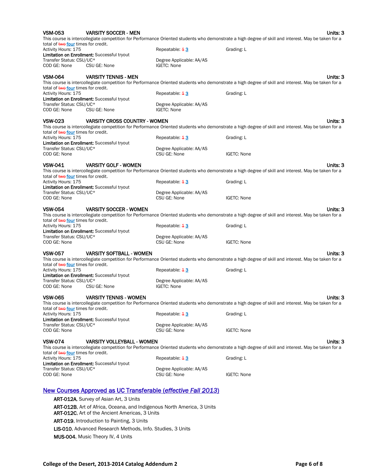| <b>VSM-053</b>                                                    | <b>VARSITY SOCCER - MEN</b>                                                                                                     |                                          | Units: 3<br>This course is intercollegiate competition for Performance Oriented students who demonstrate a high degree of skill and interest. May be taken for a |
|-------------------------------------------------------------------|---------------------------------------------------------------------------------------------------------------------------------|------------------------------------------|------------------------------------------------------------------------------------------------------------------------------------------------------------------|
| total of two four times for credit.<br>Activity Hours: 175        |                                                                                                                                 | Repeatable: $43$                         | Grading: L                                                                                                                                                       |
| Transfer Status: CSU/UC*                                          | <b>Limitation on Enrollment: Successful tryout</b>                                                                              | Degree Applicable: AA/AS                 |                                                                                                                                                                  |
| COD GE: None                                                      | CSU GE: None                                                                                                                    | <b>IGETC: None</b>                       |                                                                                                                                                                  |
| <b>VSM-064</b>                                                    | <b>VARSITY TENNIS - MEN</b>                                                                                                     |                                          | Units: 3                                                                                                                                                         |
|                                                                   |                                                                                                                                 |                                          | This course is intercollegiate competition for Performance Oriented students who demonstrate a high degree of skill and interest. May be taken for a             |
| total of two four times for credit.<br>Activity Hours: 175        |                                                                                                                                 | Repeatable: $43$                         | Grading: L                                                                                                                                                       |
|                                                                   | Limitation on Enrollment: Successful tryout                                                                                     |                                          |                                                                                                                                                                  |
| Transfer Status: CSU/UC*                                          |                                                                                                                                 | Degree Applicable: AA/AS                 |                                                                                                                                                                  |
| COD GE: None                                                      | CSU GE: None                                                                                                                    | <b>IGETC: None</b>                       |                                                                                                                                                                  |
| <b>VSW-023</b>                                                    | <b>VARSITY CROSS COUNTRY - WOMEN</b>                                                                                            |                                          | Units: 3<br>This course is intercollegiate competition for Performance Oriented students who demonstrate a high degree of skill and interest. May be taken for a |
| total of two four times for credit.                               |                                                                                                                                 |                                          |                                                                                                                                                                  |
| Activity Hours: 175                                               |                                                                                                                                 | Repeatable: $43$                         | Grading: L                                                                                                                                                       |
|                                                                   | <b>Limitation on Enrollment: Successful tryout</b>                                                                              |                                          |                                                                                                                                                                  |
| Transfer Status: CSU/UC*<br>COD GE: None                          |                                                                                                                                 | Degree Applicable: AA/AS<br>CSU GE: None | <b>IGETC: None</b>                                                                                                                                               |
| <b>VSW-041</b>                                                    | <b>VARSITY GOLF - WOMEN</b>                                                                                                     |                                          | Units: 3                                                                                                                                                         |
|                                                                   |                                                                                                                                 |                                          | This course is intercollegiate competition for Performance Oriented students who demonstrate a high degree of skill and interest. May be taken for a             |
| total of <b>twe four</b> times for credit.<br>Activity Hours: 175 |                                                                                                                                 | Repeatable: $43$                         | Grading: L                                                                                                                                                       |
|                                                                   | Limitation on Enrollment: Successful tryout                                                                                     |                                          |                                                                                                                                                                  |
| Transfer Status: CSU/UC*                                          |                                                                                                                                 | Degree Applicable: AA/AS                 |                                                                                                                                                                  |
| COD GE: None                                                      |                                                                                                                                 | CSU GE: None                             | <b>IGETC: None</b>                                                                                                                                               |
| <b>VSW-054</b>                                                    | <b>VARSITY SOCCER - WOMEN</b>                                                                                                   |                                          | Units: 3                                                                                                                                                         |
|                                                                   |                                                                                                                                 |                                          | This course is intercollegiate competition for Performance Oriented students who demonstrate a high degree of skill and interest. May be taken for a             |
| total of two four times for credit.                               |                                                                                                                                 |                                          |                                                                                                                                                                  |
| Activity Hours: 175                                               | <b>Limitation on Enrollment: Successful tryout</b>                                                                              | Repeatable: $\pm$ 3                      | Grading: L                                                                                                                                                       |
| Transfer Status: CSU/UC*                                          |                                                                                                                                 | Degree Applicable: AA/AS                 |                                                                                                                                                                  |
| COD GE: None                                                      |                                                                                                                                 | CSU GE: None                             | <b>IGETC: None</b>                                                                                                                                               |
| <b>VSW-057</b>                                                    | <b>VARSITY SOFTBALL - WOMEN</b>                                                                                                 |                                          | Units: 3                                                                                                                                                         |
|                                                                   |                                                                                                                                 |                                          | This course is intercollegiate competition for Performance Oriented students who demonstrate a high degree of skill and interest. May be taken for a             |
| total of two four times for credit.                               |                                                                                                                                 |                                          |                                                                                                                                                                  |
| Activity Hours: 175                                               | Limitation on Enrollment: Successful tryout                                                                                     | Repeatable: 43                           | Grading: L                                                                                                                                                       |
| Transfer Status: CSU/UC*                                          |                                                                                                                                 | Degree Applicable: AA/AS                 |                                                                                                                                                                  |
| COD GE: None                                                      | CSU GE: None                                                                                                                    | <b>IGETC: None</b>                       |                                                                                                                                                                  |
| <b>VSW-065</b>                                                    | <b>VARSITY TENNIS - WOMEN</b>                                                                                                   |                                          | Units: 3                                                                                                                                                         |
|                                                                   |                                                                                                                                 |                                          | This course is intercollegiate competition for Performance Oriented students who demonstrate a high degree of skill and interest. May be taken for a             |
| total of <b>twe four</b> times for credit.                        |                                                                                                                                 |                                          |                                                                                                                                                                  |
| Activity Hours: 175                                               |                                                                                                                                 | Repeatable: $43$                         | Grading: L                                                                                                                                                       |
| Transfer Status: CSU/UC*                                          | Limitation on Enrollment: Successful tryout                                                                                     | Degree Applicable: AA/AS                 |                                                                                                                                                                  |
| COD GE: None                                                      |                                                                                                                                 | CSU GE: None                             | <b>IGETC: None</b>                                                                                                                                               |
| <b>VSW-074</b>                                                    | <b>VARSITY VOLLEYBALL - WOMEN</b>                                                                                               |                                          | Units: 3                                                                                                                                                         |
|                                                                   |                                                                                                                                 |                                          | This course is intercollegiate competition for Performance Oriented students who demonstrate a high degree of skill and interest. May be taken for a             |
| total of two four times for credit.                               |                                                                                                                                 |                                          |                                                                                                                                                                  |
| Activity Hours: 175                                               | <b>Limitation on Enrollment:</b> Successful tryout                                                                              | Repeatable: $43$                         | Grading: L                                                                                                                                                       |
| Transfer Status: CSU/UC*                                          |                                                                                                                                 | Degree Applicable: AA/AS                 |                                                                                                                                                                  |
| COD GE: None                                                      |                                                                                                                                 | CSU GE: None                             | <b>IGETC: None</b>                                                                                                                                               |
|                                                                   | <b>New Courses Approved as UC Transferable (effective Fall 2013)</b>                                                            |                                          |                                                                                                                                                                  |
|                                                                   | <b>ART-012A, Survey of Asian Art, 3 Units</b>                                                                                   |                                          |                                                                                                                                                                  |
|                                                                   |                                                                                                                                 |                                          |                                                                                                                                                                  |
|                                                                   | ART-012B, Art of Africa, Oceana, and Indigenous North America, 3 Units<br><b>ART-012C, Art of the Ancient Americas, 3 Units</b> |                                          |                                                                                                                                                                  |
|                                                                   | ART-019, Introduction to Painting, 3 Units                                                                                      |                                          |                                                                                                                                                                  |
|                                                                   | LIS-010, Advanced Research Methods, Info. Studies, 3 Units                                                                      |                                          |                                                                                                                                                                  |

MUS-004, Music Theory IV, 4 Units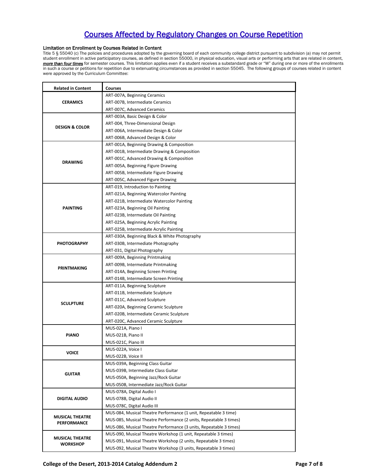## Courses Affected by Regulatory Changes on Course Repetition

#### Limitation on Enrollment by Courses Related in Content

Title 5 § 55040 (c) The policies and procedures adopted by the governing board of each community college district pursuant to subdivision (a) may not permit student enrollment in active participatory courses, as defined in section 55000, in physical education, visual arts or performing arts that are related in content, *more than four times* for semester courses. This limitation applies even if a student receives a substandard grade or "W" during one or more of the enrollments in such a course or petitions for repetition due to extenuating circumstances as provided in section 55045. The following groups of courses related in content were approved by the Curriculum Committee:

| <b>Related in Content</b>                 | <b>Courses</b>                                                     |
|-------------------------------------------|--------------------------------------------------------------------|
|                                           | ART-007A, Beginning Ceramics                                       |
| <b>CERAMICS</b>                           | ART-007B, Intermediate Ceramics                                    |
|                                           | ART-007C, Advanced Ceramics                                        |
|                                           | ART-003A, Basic Design & Color                                     |
|                                           | ART-004, Three-Dimensional Design                                  |
| <b>DESIGN &amp; COLOR</b>                 | ART-006A, Intermediate Design & Color                              |
|                                           | ART-006B, Advanced Design & Color                                  |
|                                           | ART-001A, Beginning Drawing & Composition                          |
|                                           | ART-001B, Intermediate Drawing & Composition                       |
| <b>DRAWING</b>                            | ART-001C, Advanced Drawing & Composition                           |
|                                           | ART-005A, Beginning Figure Drawing                                 |
|                                           | ART-005B, Intermediate Figure Drawing                              |
|                                           | ART-005C, Advanced Figure Drawing                                  |
|                                           | ART-019, Introduction to Painting                                  |
|                                           | ART-021A, Beginning Watercolor Painting                            |
|                                           | ART-021B, Intermediate Watercolor Painting                         |
| <b>PAINTING</b>                           | ART-023A, Beginning Oil Painting                                   |
|                                           | ART-023B, Intermediate Oil Painting                                |
|                                           | ART-025A, Beginning Acrylic Painting                               |
|                                           | ART-025B, Intermediate Acrylic Painting                            |
|                                           | ART-030A, Beginning Black & White Photography                      |
| <b>PHOTOGRAPHY</b>                        | ART-030B, Intermediate Photography                                 |
|                                           | ART-031, Digital Photography                                       |
|                                           | ART-009A, Beginning Printmaking                                    |
|                                           | ART-009B, Intermediate Printmaking                                 |
| <b>PRINTMAKING</b>                        | ART-014A, Beginning Screen Printing                                |
|                                           | ART-014B, Intermediate Screen Printing                             |
|                                           | ART-011A, Beginning Sculpture                                      |
|                                           | ART-011B, Intermediate Sculpture                                   |
|                                           | ART-011C, Advanced Sculpture                                       |
| <b>SCULPTURE</b>                          | ART-020A, Beginning Ceramic Sculpture                              |
|                                           | ART-020B, Intermediate Ceramic Sculpture                           |
|                                           | ART-020C, Advanced Ceramic Sculpture                               |
|                                           | MUS-021A, Piano I                                                  |
| <b>PIANO</b>                              | MUS-021B, Piano II                                                 |
|                                           | MUS-021C, Piano III                                                |
|                                           | MUS-022A, Voice I                                                  |
| VOICE                                     | MUS-022B, Voice II                                                 |
|                                           | MUS-039A, Beginning Class Guitar                                   |
| <b>GUITAR</b>                             | MUS-039B, Intermediate Class Guitar                                |
|                                           | MUS-050A, Beginning Jazz/Rock Guitar                               |
|                                           | MUS-050B, Intermediate Jazz/Rock Guitar                            |
|                                           | MUS-078A, Digital Audio I                                          |
| <b>DIGITAL AUDIO</b>                      | MUS-078B, Digital Audio II                                         |
|                                           | MUS-078C, Digital Audio III                                        |
|                                           | MUS-084, Musical Theatre Performance (1 unit, Repeatable 3 time)   |
| <b>MUSICAL THEATRE</b><br>PERFORMANCE     | MUS-085, Musical Theatre Performance (2 units, Repeatable 3 times) |
|                                           | MUS-086, Musical Theatre Performance (3 units, Repeatable 3 times) |
|                                           | MUS-090, Musical Theatre Workshop (1 unit, Repeatable 3 times)     |
| <b>MUSICAL THEATRE</b><br><b>WORKSHOP</b> | MUS-091, Musical Theatre Workshop (2 units, Repeatable 3 times)    |
|                                           | MUS-092, Musical Theatre Workshop (3 units, Repeatable 3 times)    |